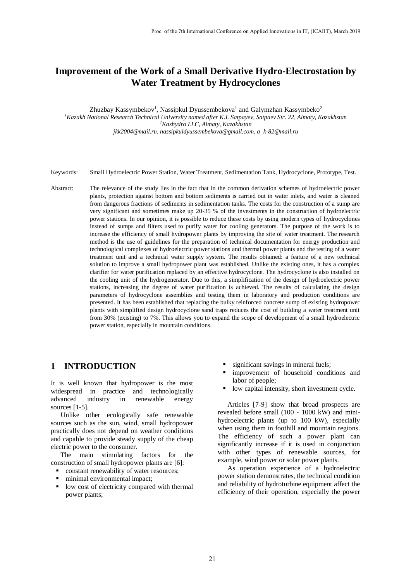# **Improvement of the Work of a Small Derivative Hydro-Electrostation by Water Treatment by Hydrocyclones**

Zhuzbay Kassymbekov<sup>1</sup>, Nassipkul Dyussembekova<sup>1</sup> and Galymzhan Kassymbeko<sup>2</sup> *<sup>1</sup>Kazakh National Research Technical University named after K.I. Satpayev, Satpaev Str. 22, Almaty, Kazakhstan <sup>2</sup>Kazhydro LLC, Almaty, Kazakhstan jkk2004@mail.ru, nassipkuldyussembekova@gmail.com, a\_k-82@mail.ru*

- Keywords: Small Hydroelectric Power Station, Water Treatment, Sedimentation Tank, Hydrocyclone, Prototype, Test.
- Abstract: The relevance of the study lies in the fact that in the common derivation schemes of hydroelectric power plants, protection against bottom and bottom sediments is carried out in water inlets, and water is cleaned from dangerous fractions of sediments in sedimentation tanks. The costs for the construction of a sump are very significant and sometimes make up 20-35 % of the investments in the construction of hydroelectric power stations. In our opinion, it is possible to reduce these costs by using modern types of hydrocyclones instead of sumps and filters used to purify water for cooling generators. The purpose of the work is to increase the efficiency of small hydropower plants by improving the site of water treatment. The research method is the use of guidelines for the preparation of technical documentation for energy production and technological complexes of hydroelectric power stations and thermal power plants and the testing of a water treatment unit and a technical water supply system. The results obtained: a feature of a new technical solution to improve a small hydropower plant was established. Unlike the existing ones, it has a complex clarifier for water purification replaced by an effective hydrocyclone. The hydrocyclone is also installed on the cooling unit of the hydrogenerator. Due to this, a simplification of the design of hydroelectric power stations, increasing the degree of water purification is achieved. The results of calculating the design parameters of hydrocyclone assemblies and testing them in laboratory and production conditions are presented. It has been established that replacing the bulky reinforced concrete sump of existing hydropower plants with simplified design hydrocyclone sand traps reduces the cost of building a water treatment unit from 30% (existing) to 7%. This allows you to expand the scope of development of a small hydroelectric power station, especially in mountain conditions.

### **1 INTRODUCTION**

It is well known that hydropower is the most widespread in practice and technologically advanced industry in renewable energy sources [1-5].

Unlike other ecologically safe renewable sources such as the sun, wind, small hydropower practically does not depend on weather conditions and capable to provide steady supply of the cheap electric power to the consumer.

The main stimulating factors for the construction of small hydropower plants are [6]:

- constant renewability of water resources;
- minimal environmental impact;
- **IDE 100** cost of electricity compared with thermal power plants;
- significant savings in mineral fuels;
- improvement of household conditions and labor of people;
- **IDE 100** capital intensity, short investment cycle.

Articles [7-9] show that broad prospects are revealed before small (100 - 1000 kW) and minihydroelectric plants (up to 100 kW), especially when using them in foothill and mountain regions. The efficiency of such a power plant can significantly increase if it is used in conjunction with other types of renewable sources, for example, wind power or solar power plants.

As operation experience of a hydroelectric power station demonstrates, the technical condition and reliability of hydroturbine equipment affect the efficiency of their operation, especially the power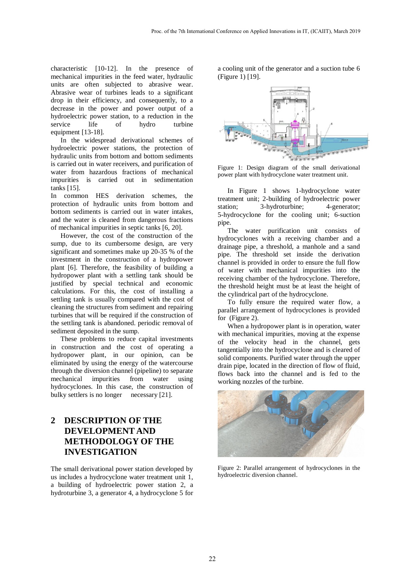characteristic [10-12]. In the presence of mechanical impurities in the feed water, hydraulic units are often subjected to abrasive wear. Abrasive wear of turbines leads to a significant drop in their efficiency, and consequently, to a decrease in the power and power output of a hydroelectric power station, to a reduction in the service life of hydro turbine equipment [13-18].

In the widespread derivational schemes of hydroelectric power stations, the protection of hydraulic units from bottom and bottom sediments is carried out in water receivers, and purification of water from hazardous fractions of mechanical impurities is carried out in sedimentation tanks [15].

In common HES derivation schemes, the protection of hydraulic units from bottom and bottom sediments is carried out in water intakes, and the water is cleaned from dangerous fractions of mechanical impurities in septic tanks [6, 20].

However, the cost of the construction of the sump, due to its cumbersome design, are very significant and sometimes make up 20-35 % of the investment in the construction of a hydropower plant [6]. Therefore, the feasibility of building a hydropower plant with a settling tank should be justified by special technical and economic calculations. For this, the cost of installing a settling tank is usually compared with the cost of cleaning the structures from sediment and repairing turbines that will be required if the construction of the settling tank is abandoned. periodic removal of sediment deposited in the sump.

These problems to reduce capital investments in construction and the cost of operating a hydropower plant, in our opinion, can be eliminated by using the energy of the watercourse through the diversion channel (pipeline) to separate mechanical impurities from water using hydrocyclones. In this case, the construction of bulky settlers is no longer necessary [21].

# **2 DESCRIPTION OF THE DEVELOPMENT AND METHODOLOGY OF THE INVESTIGATION**

The small derivational power station developed by us includes a hydrocyclone water treatment unit 1, a building of hydroelectric power station 2, a hydroturbine 3, a generator 4, a hydrocyclone 5 for

a cooling unit of the generator and a suction tube 6 (Figure 1) [19].



Figure 1: Design diagram of the small derivational power plant with hydrocyclone water treatment unit.

In Figure 1 shows 1-hydrocyclone water treatment unit; 2-building of hydroelectric power station; 3-hydroturbine; 4-generator; 5-hydrocyclone for the cooling unit; 6-suction pipe.

The water purification unit consists of hydrocyclones with a receiving chamber and a drainage pipe, a threshold, a manhole and a sand pipe. The threshold set inside the derivation channel is provided in order to ensure the full flow of water with mechanical impurities into the receiving chamber of the hydrocyclone. Therefore, the threshold height must be at least the height of the cylindrical part of the hydrocyclone.

To fully ensure the required water flow, a parallel arrangement of hydrocyclones is provided for (Figure 2).

When a hydropower plant is in operation, water with mechanical impurities, moving at the expense of the velocity head in the channel, gets tangentially into the hydrocyclone and is cleared of solid components. Purified water through the upper drain pipe, located in the direction of flow of fluid, flows back into the channel and is fed to the working nozzles of the turbine.



Figure 2: Parallel arrangement of hydrocyclones in the hydroelectric diversion channel.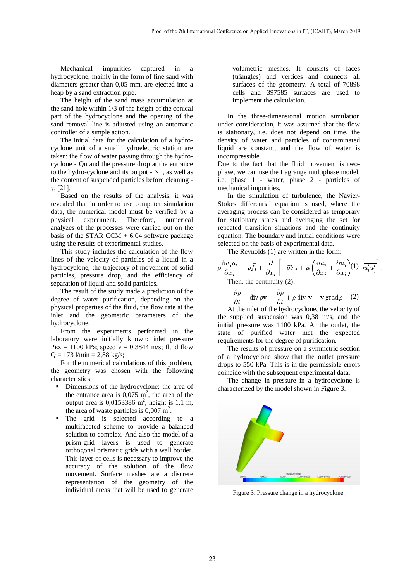Mechanical impurities captured in a hydrocyclone, mainly in the form of fine sand with diameters greater than 0,05 mm, are ejected into a heap by a sand extraction pipe.

The height of the sand mass accumulation at the sand hole within 1/3 of the height of the conical part of the hydrocyclone and the opening of the sand removal line is adjusted using an automatic controller of a simple action.

The initial data for the calculation of a hydrocyclone unit of a small hydroelectric station are taken: the flow of water passing through the hydrocyclone - Qn and the pressure drop at the entrance to the hydro-cyclone and its output - Nn, as well as the content of suspended particles before cleaning γ. [21].

Based on the results of the analysis, it was revealed that in order to use computer simulation data, the numerical model must be verified by a physical experiment. Therefore, numerical analyzes of the processes were carried out on the basis of the STAR CCM  $+ 6,04$  software package using the results of experimental studies.

This study includes the calculation of the flow lines of the velocity of particles of a liquid in a hydrocyclone, the trajectory of movement of solid particles, pressure drop, and the efficiency of separation of liquid and solid particles.

The result of the study made a prediction of the degree of water purification, depending on the physical properties of the fluid, the flow rate at the inlet and the geometric parameters of the hydrocyclone.

From the experiments performed in the laboratory were initially known: inlet pressure  $P_{BX} = 1100$  kPa; speed  $v = 0,3844$  m/s; fluid flow  $Q = 173$  l/min = 2,88 kg/s;

For the numerical calculations of this problem, the geometry was chosen with the following characteristics:

- **•** Dimensions of the hydrocyclone: the area of the entrance area is  $0.075 \text{ m}^2$ , the area of the output area is  $0,0153386$  m<sup>2</sup>, height is 1,1 m, the area of waste particles is  $0,007 \text{ m}^2$ .
- The grid is selected according to a multifaceted scheme to provide a balanced solution to complex. And also the model of a prism-grid layers is used to generate orthogonal prismatic grids with a wall border. This layer of cells is necessary to improve the accuracy of the solution of the flow movement. Surface meshes are a discrete representation of the geometry of the individual areas that will be used to generate

volumetric meshes. It consists of faces (triangles) and vertices and connects all surfaces of the geometry. A total of 70898 cells and 397585 surfaces are used to implement the calculation.

In the three-dimensional motion simulation under consideration, it was assumed that the flow is stationary, i.e. does not depend on time, the density of water and particles of contaminated liquid are constant, and the flow of water is incompressible.

Due to the fact that the fluid movement is twophase, we can use the Lagrange multiphase model, i.e. phase 1 - water, phase 2 - particles of mechanical impurities.

In the simulation of turbulence, the Navier-Stokes differential equation is used, where the averaging process can be considered as temporary for stationary states and averaging the set for repeated transition situations and the continuity equation. The boundary and initial conditions were selected on the basis of experimental data.

The Reynolds (1) are written in the form:

$$
\rho \frac{\partial \bar{u}_j \bar{u}_i}{\partial x_j} = \rho \bar{f}_i + \frac{\partial}{\partial x_i} \left[ -\bar{p} \delta_{ij} + \mu \left( \frac{\partial \bar{u}_i}{\partial x_i} + \frac{\partial \bar{u}_j}{\partial x_i} \right) (1) \, \frac{\bar{u}_i' u_j'}{\bar{u}_i' u_j'} \right].
$$
Then the continuity (2).

Then, the continuity (2):

$$
\frac{\partial \rho}{\partial t} + \text{div}\,\rho \mathbf{v} = \frac{\partial \rho}{\partial t} + \rho \,\text{div}\,\,\mathbf{v} + \mathbf{v}\,\text{grad}\,\rho = (2)
$$

At the inlet of the hydrocyclone, the velocity of the supplied suspension was 0,38 m/s, and the initial pressure was 1100 kPa. At the outlet, the state of purified water met the expected requirements for the degree of purification.

The results of pressure on a symmetric section of a hydrocyclone show that the outlet pressure drops to 550 kPa. This is in the permissible errors coincide with the subsequent experimental data.

The change in pressure in a hydrocyclone is characterized by the model shown in Figure 3.



Figure 3: Pressure change in a hydrocyclone.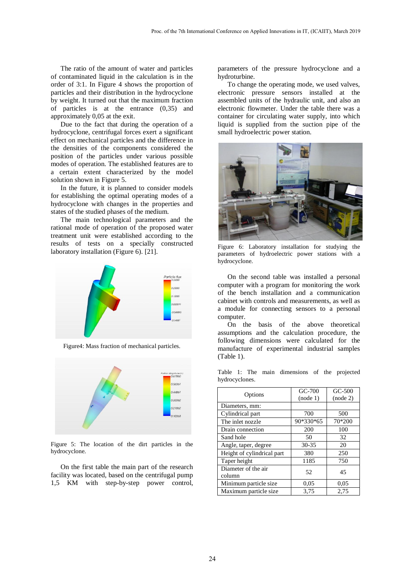The ratio of the amount of water and particles of contaminated liquid in the calculation is in the order of 3:1. In Figure 4 shows the proportion of particles and their distribution in the hydrocyclone by weight. It turned out that the maximum fraction of particles is at the entrance (0,35) and approximately 0,05 at the exit.

Due to the fact that during the operation of a hydrocyclone, centrifugal forces exert a significant effect on mechanical particles and the difference in the densities of the components considered the position of the particles under various possible modes of operation. The established features are to a certain extent characterized by the model solution shown in Figure 5.

In the future, it is planned to consider models for establishing the optimal operating modes of a hydrocyclone with changes in the properties and states of the studied phases of the medium.

The main technological parameters and the rational mode of operation of the proposed water treatment unit were established according to the results of tests on a specially constructed laboratory installation (Figure 6). [21].



Figure4: Mass fraction of mechanical particles.



Figure 5: The location of the dirt particles in the hydrocyclone.

On the first table the main part of the research facility was located, based on the centrifugal pump 1,5 KM with step-by-step power control, parameters of the pressure hydrocyclone and a hydroturbine.

To change the operating mode, we used valves, electronic pressure sensors installed at the assembled units of the hydraulic unit, and also an electronic flowmeter. Under the table there was a container for circulating water supply, into which liquid is supplied from the suction pipe of the small hydroelectric power station.



Figure 6: Laboratory installation for studying the parameters of hydroelectric power stations with a hydrocyclone.

On the second table was installed a personal computer with a program for monitoring the work of the bench installation and a communication cabinet with controls and measurements, as well as a module for connecting sensors to a personal computer.

On the basis of the above theoretical assumptions and the calculation procedure, the following dimensions were calculated for the manufacture of experimental industrial samples (Table 1).

Table 1: The main dimensions of the projected hydrocyclones.

| Options                       | GC-700<br>(node 1) | GC-500<br>(node 2) |
|-------------------------------|--------------------|--------------------|
| Diameters, mm:                |                    |                    |
| Cylindrical part              | 700                | 500                |
| The inlet nozzle              | 90*330*65          | 70*200             |
| Drain connection              | 200                | 100                |
| Sand hole                     | 50                 | 32                 |
| Angle, taper, degree          | 30-35              | 20                 |
| Height of cylindrical part    | 380                | 250                |
| Taper height                  | 1185               | 750                |
| Diameter of the air<br>column | 52                 | 45                 |
| Minimum particle size         | 0,05               | 0.05               |
| Maximum particle size         | 3.75               | 2.75               |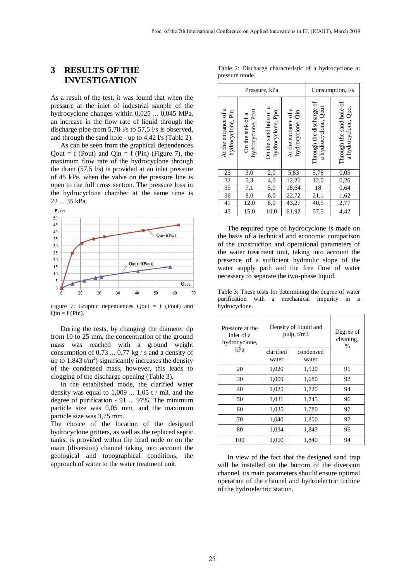### **3 RESULTS OF THE INVESTIGATION**

As a result of the test, it was found that when the pressure at the inlet of industrial sample of the hydrocyclone changes within 0,025 ... 0,045 MPa, an increase in the flow rate of liquid through the discharge pipe from 5,78 l/s to 57,5 l/s is observed, and through the sand hole - up to 4,42 l/s (Table 2).

As can be seen from the graphical dependences Qout = f (Pout) and Qin = f (Pin) (Figure 7), the maximum flow rate of the hydrocyclone through the drain  $(57,5 \text{ l/s})$  is provided at an inlet pressure of 45 kPa, when the valve on the pressure line is open to the full cross section. The pressure loss in the hydrocyclone chamber at the same time is 22 ... 35 kPa.





Figure 7: Graphic dependences  $Quat = f (Pout)$  and  $Qin = f (Pin)$ .

During the tests, by changing the diameter dp from 10 to 25 mm, the concentration of the ground mass was reached with a ground weight consumption of 0,73 ...  $0.77 \text{ kg}$  / s and a density of up to  $1,843 \text{ t/m}^3$ ) significantly increases the density of the condensed mass, however, this leads to clogging of the discharge opening (Table 3).

In the established mode, the clarified water density was equal to  $1,009$  ...  $1,05$  t / m3, and the degree of purification - 91 ... 97%. The minimum particle size was 0,05 mm, and the maximum particle size was 3,75 mm.

The choice of the location of the designed hydrocyclone gritters, as well as the replaced septic tanks, is provided within the head node or on the main (diversion) channel taking into account the geological and topographical conditions, the approach of water to the water treatment unit.

|                |  | Table 2: Discharge characteristic of a hydrocyclone at |  |
|----------------|--|--------------------------------------------------------|--|
| pressure mode. |  |                                                        |  |

| Pressure, kPa                             |                                        |                                            | Consumption, l/s                          |                                                  |                                                 |
|-------------------------------------------|----------------------------------------|--------------------------------------------|-------------------------------------------|--------------------------------------------------|-------------------------------------------------|
| At the entrance of a<br>hydrocyclone, Pin | hydrocyclone, Pout<br>On the sink of a | On the sand hole of a<br>hydrocyclone, Ppo | At the entrance of a<br>hydrocyclone, Qin | Through the discharge of<br>a hydrocyclone, Qout | Through the sand hole of<br>a hydrocyclone, Qpo |
| <u>25</u>                                 | 3,0                                    | 2,0                                        | 5,83                                      | 5,78                                             | 0,05                                            |
| $\overline{32}$                           | 5,3                                    | 4,0                                        | 12,26                                     | 12,0                                             | 0,26                                            |
| 35                                        | 7,1                                    | 5,0                                        | 18,64                                     | 18                                               | 0,64                                            |
| 36                                        | 8,0                                    | 6,0                                        | 22,72                                     | 21,1                                             | 1,62                                            |
| 41                                        | 12,0                                   | 8,0                                        | 43,27                                     | 40,5                                             | 2,77                                            |
| 45                                        | 15,0                                   | 10,0                                       | 61,92                                     | $\overline{57,5}$                                | 4,42                                            |

The required type of hydrocyclone is made on the basis of a technical and economic comparison of the construction and operational parameters of the water treatment unit, taking into account the presence of a sufficient hydraulic slope of the water supply path and the free flow of water necessary to separate the two-phase liquid.

Table 3: These tests for determining the degree of water purification with a mechanical impurity in a hydrocyclone.

| inlet of a | Pressure at the<br>hydrocyclone, | Density of liquid and<br>pulp, $t/m3$ |                    | Degree of<br>cleaning,<br>% |
|------------|----------------------------------|---------------------------------------|--------------------|-----------------------------|
|            | kPa                              | clarified<br>water                    | condensed<br>water |                             |
|            | 20                               | 1,020                                 | 1,520              | 91                          |
|            | 30                               | 1,009                                 | 1,680              | 92                          |
|            | 40                               | 1,025                                 | 1,720              | 94                          |
|            | 50                               | 1,031                                 | 1,745              | 96                          |
|            | 60                               | 1,035                                 | 1,780              | 97                          |
|            | 70                               | 1,040                                 | 1,800              | 97                          |
|            | 80                               | 1,034                                 | 1,843              | 96                          |
|            | 100                              | 1,050                                 | 1,840              | 94                          |

In view of the fact that the designed sand trap will be installed on the bottom of the diversion channel, its main parameters should ensure optimal operation of the channel and hydroelectric turbine of the hydroelectric station.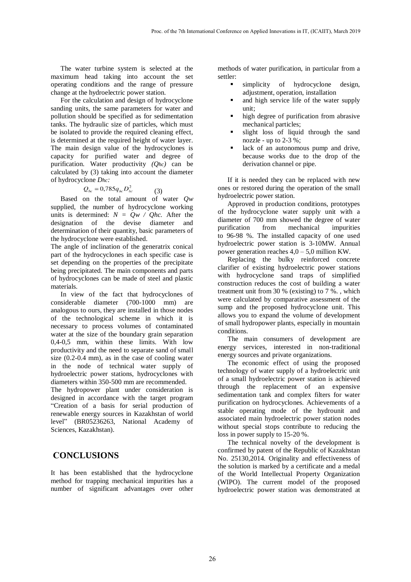The water turbine system is selected at the maximum head taking into account the set operating conditions and the range of pressure change at the hydroelectric power station.

For the calculation and design of hydrocyclone sanding units, the same parameters for water and pollution should be specified as for sedimentation tanks. The hydraulic size of particles, which must be isolated to provide the required cleaning effect, is determined at the required height of water layer. The main design value of the hydrocyclones is capacity for purified water and degree of purification. Water productivity *(Qhc)* can be calculated by (3) taking into account the diameter of hydrocyclone *Dhc:*

$$
Q_{hc} = 0.785 q_{hc} D_{hc}^2
$$

Based on the total amount of water *Qw* supplied, the number of hydrocyclone working units is determined:  $N = Qw / Qhc$ . After the designation of the devise diameter and determination of their quantity, basic parameters of the hydrocyclone were established.

(3)

The angle of inclination of the generatrix conical part of the hydrocyclones in each specific case is set depending on the properties of the precipitate being precipitated. The main components and parts of hydrocyclones can be made of steel and plastic materials.

In view of the fact that hydrocyclones of considerable diameter (700-1000 mm) are analogous to ours, they are installed in those nodes of the technological scheme in which it is necessary to process volumes of contaminated water at the size of the boundary grain separation 0,4-0,5 mm, within these limits. With low productivity and the need to separate sand of small size (0.2-0.4 mm), as in the case of cooling water in the node of technical water supply of hydroelectric power stations, hydrocyclones with diameters within 350-500 mm are recommended.

The hydropower plant under consideration is designed in accordance with the target program "Creation of a basis for serial production of renewable energy sources in Kazakhstan of world level" (BR05236263, National Academy of Sciences, Kazakhstan).

### **СONCLUSIONS**

It has been established that the hydrocyclone method for trapping mechanical impurities has a number of significant advantages over other methods of water purification, in particular from a settler:

- simplicity of hydrocyclone design, adjustment, operation, installation
- and high service life of the water supply unit;
- high degree of purification from abrasive mechanical particles;
- slight loss of liquid through the sand nozzle - up to  $2-3$ %;
- lack of an autonomous pump and drive, because works due to the drop of the derivation channel or pipe.

If it is needed they can be replaced with new ones or restored during the operation of the small hydroelectric power station.

Approved in production conditions, prototypes of the hydrocyclone water supply unit with a diameter of 700 mm showed the degree of water purification from mechanical impurities to 96-98 %. The installed capacity of one used hydroelectric power station is 3-10MW. Annual power generation reaches 4,0 – 5,0 million KW.

Replacing the bulky reinforced concrete clarifier of existing hydroelectric power stations with hydrocyclone sand traps of simplified construction reduces the cost of building a water treatment unit from 30 % (existing) to  $7\%$ ., which were calculated by comparative assessment of the sump and the proposed hydrocyclone unit. This allows you to expand the volume of development of small hydropower plants, especially in mountain conditions.

The main consumers of development are energy services, interested in non-traditional energy sources and private organizations.

The economic effect of using the proposed technology of water supply of a hydroelectric unit of a small hydroelectric power station is achieved through the replacement of an expensive sedimentation tank and complex filters for water purification on hydrocyclones. Achievements of a stable operating mode of the hydrounit and associated main hydroelectric power station nodes without special stops contribute to reducing the loss in power supply to 15-20 %.

The technical novelty of the development is confirmed by patent of the Republic of Kazakhstan No. 25130,2014. Originality and effectiveness of the solution is marked by a certificate and a medal of the World Intellectual Property Organization (WIPO). The current model of the proposed hydroelectric power station was demonstrated at